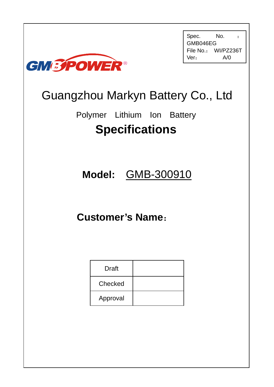

Spec. No. : GMB046EG File No.: WI/PZ236T Ver: A/0

# Guangzhou Markyn Battery Co., Ltd

Polymer Lithium Ion Battery **Specifications**

# **Model:** GMB-300910

# **Customer's Name**:

| <b>Draft</b> |  |
|--------------|--|
| Checked      |  |
| Approval     |  |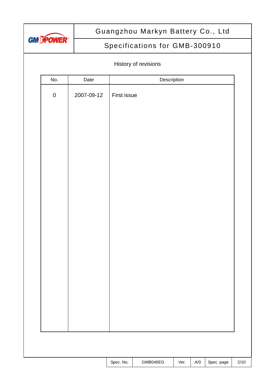

# Specifications for GMB-300910

## History of revisions

| No.       | Date       |             |          | Description |     |            |      |
|-----------|------------|-------------|----------|-------------|-----|------------|------|
| ${\bf 0}$ | 2007-09-12 | First issue |          |             |     |            |      |
|           |            |             |          |             |     |            |      |
|           |            |             |          |             |     |            |      |
|           |            |             |          |             |     |            |      |
|           |            |             |          |             |     |            |      |
|           |            |             |          |             |     |            |      |
|           |            |             |          |             |     |            |      |
|           |            |             |          |             |     |            |      |
|           |            |             |          |             |     |            |      |
|           |            |             |          |             |     |            |      |
|           |            |             |          |             |     |            |      |
|           |            |             |          |             |     |            |      |
|           |            |             |          |             |     |            |      |
|           |            |             |          |             |     |            |      |
|           |            |             |          |             |     |            |      |
|           |            |             |          |             |     |            |      |
|           |            |             |          |             |     |            |      |
|           |            |             |          |             |     |            |      |
|           |            |             |          |             |     |            |      |
|           |            |             |          |             |     |            |      |
|           |            |             |          |             |     |            |      |
|           |            | Spec. No.   | GMB046EG | Ver.        | A/O | Spec. page | 2/10 |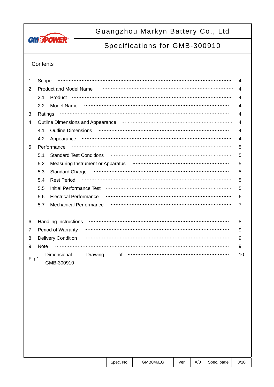

# Specifications for GMB-300910

### **Contents**

| 1     | Scope       |                                                                                                                                          | 4  |
|-------|-------------|------------------------------------------------------------------------------------------------------------------------------------------|----|
| 2     |             | <b>Product and Model Name</b>                                                                                                            | 4  |
|       | 2.1         | Product                                                                                                                                  | 4  |
|       | 2.2         | Model Name                                                                                                                               | 4  |
| 3     | Ratings     |                                                                                                                                          | 4  |
| 4     |             | Outline Dimensions and Appearance <b>manual constructs</b> continued and appearance in the construction of the Dimensions and Appearance | 4  |
|       | 4.1         | <b>Outline Dimensions</b>                                                                                                                | 4  |
|       | 4.2         | Appearance                                                                                                                               | 4  |
| 5     |             | Performance                                                                                                                              | 5  |
|       | 5.1         | <b>Standard Test Conditions</b>                                                                                                          | 5  |
|       | 5.2         | Measuring Instrument or Apparatus                                                                                                        | 5  |
|       | 5.3         | Standard Charge                                                                                                                          | 5  |
|       | 5.4         | <b>Rest Period</b>                                                                                                                       | 5  |
|       | 5.5         | <b>Initial Performance Test</b>                                                                                                          | 5  |
|       | 5.6         | <b>Electrical Performance</b>                                                                                                            | 6  |
|       | 5.7         | <b>Mechanical Performance</b>                                                                                                            | 7  |
|       |             |                                                                                                                                          |    |
| 6     |             | <b>Handling Instructions</b>                                                                                                             | 8  |
| 7     |             | Period of Warranty                                                                                                                       | 9  |
| 8     |             | <b>Delivery Condition</b>                                                                                                                | 9  |
| 9     | <b>Note</b> |                                                                                                                                          | 9  |
| Fig.1 |             | Dimensional<br>Drawing<br>of<br>GMB-300910                                                                                               | 10 |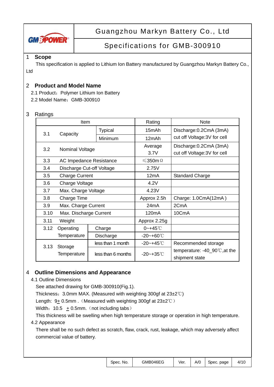

# Specifications for GMB-300910

#### 1 **Scope**

Ltd

This specification is applied to Lithium Ion Battery manufactured by Guangzhou Markyn Battery Co.,

### 2 **Product and Model Name**

2.1 Product: Polymer Lithium Ion Battery

2.2 Model Name: GMB-300910

#### 3 Ratings

|      | Item                           |                    | Rating                | <b>Note</b>                               |
|------|--------------------------------|--------------------|-----------------------|-------------------------------------------|
| 3.1  | Capacity                       | <b>Typical</b>     | 15mAh                 | Discharge: 0.2CmA (3mA)                   |
|      |                                | Minimum            | 12mAh                 | cut off Voltage: 3V for cell              |
| 3.2  |                                |                    | Average               | Discharge: 0.2CmA (3mA)                   |
|      | Nominal Voltage                |                    | 3.7V                  | cut off Voltage: 3V for cell              |
| 3.3  | <b>AC Impedance Resistance</b> |                    | $≤$ 350m Ω            |                                           |
| 3.4  | Discharge Cut-off Voltage      |                    | 2.75V                 |                                           |
| 3.5  | <b>Charge Current</b>          |                    | 12mA                  | <b>Standard Charge</b>                    |
| 3.6  | Charge Voltage                 |                    | 4.2V                  |                                           |
| 3.7  | Max. Charge Voltage            |                    | 4.23V                 |                                           |
| 3.8  | Charge Time                    |                    | Approx 2.5h           | Charge: 1.0CmA(12mA)                      |
| 3.9  | Max. Charge Current            |                    | 24 <sub>m</sub> A     | 2CmA                                      |
| 3.10 | Max. Discharge Current         |                    | 120 <sub>m</sub> A    | 10CmA                                     |
| 3.11 | Weight                         |                    | Approx 2.25g          |                                           |
| 3.12 | Operating                      | Charge             | $0 - +45$ °C          |                                           |
|      | Temperature                    | Discharge          | $-20 - +60^{\circ}$   |                                           |
| 3.13 | Storage                        | less than 1 month  | $-20 - +45^{\circ}$ C | Recommended storage                       |
|      | Temperature                    | less than 6 months | $-20 - +35^{\circ}$ C | temperature: $-40$ 90 $\degree$ C, at the |
|      |                                |                    |                       | shipment state                            |

#### 4 **Outline Dimensions and Appearance**

4.1 Outline Dimensions

See attached drawing for GMB-300910(Fig.1).

Thickness:3.0mm MAX. (Measured with weighting 300gf at 23±2℃)

Length: 9+ 0.5mm. (Measured with weighting 300gf at 23±2℃)

Width:  $10.5 \pm 0.5$ mm. (not including tabs)

This thickness will be swelling when high temperature storage or operation in high temperature.

#### 4.2 Appearance

 There shall be no such defect as scratch, flaw, crack, rust, leakage, which may adversely affect commercial value of battery.

| Spec. No. | GMB046EG | Ver. |  | $A/O$ Spec. page | 4/10 |
|-----------|----------|------|--|------------------|------|
|-----------|----------|------|--|------------------|------|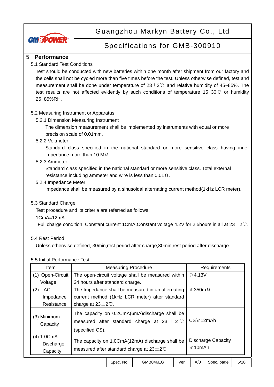

## Specifications for GMB-300910

#### 5 **Performance**

#### 5.1 Standard Test Conditions

Test should be conducted with new batteries within one month after shipment from our factory and the cells shall not be cycled more than five times before the test. Unless otherwise defined, test and measurement shall be done under temperature of  $23\pm2\degree$  and relative humidity of 45~85%. The test results are not affected evidently by such conditions of temperature 15~30℃ or humidity 25~85%RH.

#### 5.2 Measuring Instrument or Apparatus

#### 5.2.1 Dimension Measuring Instrument

The dimension measurement shall be implemented by instruments with equal or more precision scale of 0.01mm.

#### 5.2.2 Voltmeter

Standard class specified in the national standard or more sensitive class having inner impedance more than 10 M  $\Omega$ 

#### 5.2.3 Ammeter

Standard class specified in the national standard or more sensitive class. Total external resistance including ammeter and wire is less than  $0.01 \Omega$ .

#### 5.2.4 Impedance Meter

Impedance shall be measured by a sinusoidal alternating current method(1kHz LCR meter).

#### 5.3 Standard Charge

Test procedure and its criteria are referred as follows:

#### 1CmA=12mA

Full charge condition: Constant current 1CmA,Constant voltage 4.2V for 2.5hours in all at  $23\pm2^{\circ}$ C.

#### 5.4 Rest Period

Unless otherwise defined, 30min,rest period after charge,30min,rest period after discharge.

#### 5.5 Initial Performance Test

| <b>Item</b>                            | <b>Measuring Procedure</b>                                                                                |                                                                        | Requirements                                      |                                                                                                                           |            |            |      |
|----------------------------------------|-----------------------------------------------------------------------------------------------------------|------------------------------------------------------------------------|---------------------------------------------------|---------------------------------------------------------------------------------------------------------------------------|------------|------------|------|
| (1) Open-Circuit                       |                                                                                                           | $\geqslant$ 4.13V<br>The open-circuit voltage shall be measured within |                                                   |                                                                                                                           |            |            |      |
| Voltage                                | 24 hours after standard charge.                                                                           |                                                                        |                                                   |                                                                                                                           |            |            |      |
| (2)<br>АC                              |                                                                                                           |                                                                        | The Impedance shall be measured in an alternating |                                                                                                                           | $≤$ 350m Ω |            |      |
| Impedance                              |                                                                                                           |                                                                        | current method (1kHz LCR meter) after standard    |                                                                                                                           |            |            |      |
| Resistance                             |                                                                                                           | charge at $23 \pm 2^{\circ}$ .                                         |                                                   |                                                                                                                           |            |            |      |
| (3) Minimum<br>Capacity                | (specified CS).                                                                                           |                                                                        |                                                   | The capacity on 0.2CmA(6mA) discharge shall be<br>$CS \geqslant 12mAh$<br>measured after standard charge at $23 \pm 2$ °C |            |            |      |
| $(4) 1.0$ CmA<br>Discharge<br>Capacity | The capacity on 1.0CmA(12mA) discharge shall be<br>measured after standard charge at $23 \pm 2^{\circ}$ C |                                                                        | $\geqslant$ 10mAh                                 | <b>Discharge Capacity</b>                                                                                                 |            |            |      |
|                                        |                                                                                                           | Spec. No.                                                              | GMB046EG                                          | Ver.                                                                                                                      | A/O        | Spec. page | 5/10 |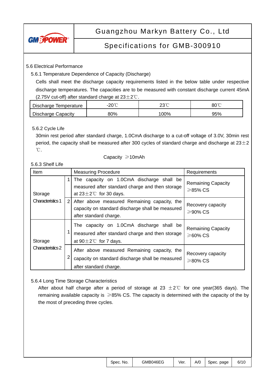

# Specifications for GMB-300910

### 5.6 Electrical Performance

5.6.1 Temperature Dependence of Capacity (Discharge)

 Cells shall meet the discharge capacity requirements listed in the below table under respective discharge temperatures. The capacities are to be measured with constant discharge current 45mA (2.75V cut-off) after standard charge at  $23\pm2^{\circ}$ C.

| Discharge Temperature | $\cap \cap \cap$<br>- - | ∩°∩<br>∠ບ | 80℃ |
|-----------------------|-------------------------|-----------|-----|
| Discharge Capacity    | 80%                     | 00%       | 95% |

### 5.6.2 Cycle Life

30min rest period after standard charge, 1.0CmA discharge to a cut-off voltage of 3.0V, 30min rest period, the capacity shall be measured after 300 cycles of standard charge and discharge at  $23\pm2$ ℃.

#### Capacity ≥10mAh

### 5.6.3 Shelf Life

| Item                         |                | <b>Measuring Procedure</b>                                                                                                       | Requirements                                |
|------------------------------|----------------|----------------------------------------------------------------------------------------------------------------------------------|---------------------------------------------|
| Storage                      |                | The capacity on 1.0CmA discharge shall be<br>measured after standard charge and then storage<br>at $23\pm2^{\circ}$ for 30 days. | <b>Remaining Capacity</b><br>$\geq$ 85% CS  |
| Characteristics 1            | $\overline{2}$ | After above measured Remaining capacity, the<br>capacity on standard discharge shall be measured<br>after standard charge.       | Recovery capacity<br>$\geqslant$ 90% CS     |
| Storage<br>Characteristics 2 |                | The capacity on 1.0CmA discharge shall be<br>measured after standard charge and then storage<br>at $90\pm2\degree$ for 7 days.   | <b>Remaining Capacity</b><br>$\geq 60\%$ CS |
|                              |                | After above measured Remaining capacity, the<br>capacity on standard discharge shall be measured<br>after standard charge.       | Recovery capacity<br>$\geq 80\%$ CS         |

### 5.6.4 Long Time Storage Characteristics

After about half charge after a period of storage at 23  $\pm$ 2℃ for one year(365 days). The remaining available capacity is  $\geq$ 85% CS. The capacity is determined with the capacity of the by the most of preceding three cycles.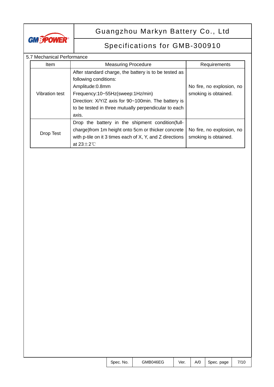

# Specifications for GMB-300910

### 5.7 Mechanical Performance

| <b>Item</b>    | <b>Measuring Procedure</b>                               | Requirements              |
|----------------|----------------------------------------------------------|---------------------------|
|                | After standard charge, the battery is to be tested as    |                           |
|                | following conditions:                                    |                           |
|                | Amplitude:0.8mm                                          | No fire, no explosion, no |
| Vibration test | Frequency:10~55Hz(sweep:1Hz/min)                         | smoking is obtained.      |
|                | Direction: X/Y/Z axis for 90~100min. The battery is      |                           |
|                | to be tested in three mutually perpendicular to each     |                           |
|                | axis.                                                    |                           |
|                | Drop the battery in the shipment condition(full-         |                           |
|                | charge) from 1m height onto 5cm or thicker concrete      | No fire, no explosion, no |
| Drop Test      | with p-tile on it 3 times each of X, Y, and Z directions | smoking is obtained.      |
|                | at $23 \pm 2^{\circ}$ C                                  |                           |

| GMB046EG<br>Spec. No. |  |  | Ver.   A/0   Spec. page |  |
|-----------------------|--|--|-------------------------|--|
|-----------------------|--|--|-------------------------|--|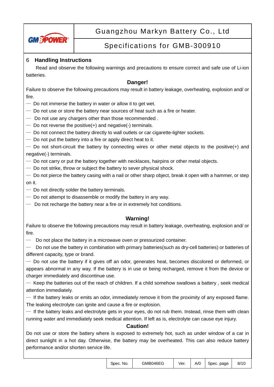

# Specifications for GMB-300910

### 6 **Handling Instructions**

Read and observe the following warnings and precautions to ensure correct and safe use of Li-ion batteries.

### **Danger!**

Failure to observe the following precautions may result in battery leakage, overheating, explosion and/ or fire.

- $-$  Do not immerse the battery in water or allow it to get wet.
- $-$  Do not use or store the battery near sources of heat such as a fire or heater.
- $-$  Do not use any chargers other than those recommended.
- $-$  Do not reverse the positive(+) and negative(-) terminals.
- Do not connect the battery directly to wall outlets or car cigarette-lighter sockets.
- Do not put the battery into a fire or apply direct heat to it.

— Do not short-circuit the battery by connecting wires or other metal objects to the positive(+) and negative(-) terminals.

- Do not carry or put the battery together with necklaces, hairpins or other metal objects.
- $-$  Do not strike, throw or subject the battery to sever physical shock.

 $-$  Do not pierce the battery casing with a nail or other sharp object, break it open with a hammer, or step on it.

- $-$  Do not directly solder the battery terminals.
- Do not attempt to disassemble or modify the battery in any way.
- $-$  Do not recharge the battery near a fire or in extremely hot conditions.

### **Warning!**

Failure to observe the following precautions may result in battery leakage, overheating, explosion and/ or fire.

 $-$  Do not place the battery in a microwave oven or pressurized container.

— Do not use the battery in combination with primary batteries(such as dry-cell batteries) or batteries of different capacity, type or brand.

— Do not use the battery if it gives off an odor, generates heat, becomes discolored or deformed, or appears abnormal in any way. If the battery is in use or being recharged, remove it from the device or charger immediately and discontinue use.

— Keep the batteries out of the reach of children. If a child somehow swallows a battery , seek medical attention immediately.

 $-$  If the battery leaks or emits an odor, immediately remove it from the proximity of any exposed flame. The leaking electrolyte can ignite and cause a fire or explosion.

 $-$  If the battery leaks and electrolyte gets in your eyes, do not rub them. Instead, rinse them with clean running water and immediately seek medical attention. If left as is, electrolyte can cause eye injury.

### **Caution!**

Do not use or store the battery where is exposed to extremely hot, such as under window of a car in direct sunlight in a hot day. Otherwise, the battery may be overheated. This can also reduce battery performance and/or shorten service life.

|  | Spec. No. | GMB046EG | Ver. |  | $A/O$ Spec. page | 8/10 |
|--|-----------|----------|------|--|------------------|------|
|--|-----------|----------|------|--|------------------|------|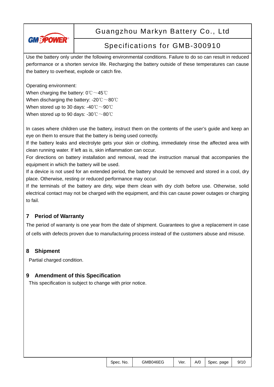

## Specifications for GMB-300910

Use the battery only under the following environmental conditions. Failure to do so can result in reduced performance or a shorten service life. Recharging the battery outside of these temperatures can cause the battery to overheat, explode or catch fire.

Operating environment:

When charging the battery: 0℃ ~45℃ When discharging the battery: -20℃~80℃ When stored up to 30 days: -40℃~90℃ When stored up to 90 days: -30℃~80℃

In cases where children use the battery, instruct them on the contents of the user's guide and keep an eye on them to ensure that the battery is being used correctly.

If the battery leaks and electrolyte gets your skin or clothing, immediately rinse the affected area with clean running water. If left as is, skin inflammation can occur.

For directions on battery installation and removal, read the instruction manual that accompanies the equipment in which the battery will be used.

If a device is not used for an extended period, the battery should be removed and stored in a cool, dry place. Otherwise, resting or reduced performance may occur.

If the terminals of the battery are dirty, wipe them clean with dry cloth before use. Otherwise, solid electrical contact may not be charged with the equipment, and this can cause power outages or charging to fail.

### **7 Period of Warranty**

The period of warranty is one year from the date of shipment. Guarantees to give a replacement in case of cells with defects proven due to manufacturing process instead of the customers abuse and misuse.

### **8 Shipment**

Partial charged condition.

### **9 Amendment of this Specification**

This specification is subject to change with prior notice.